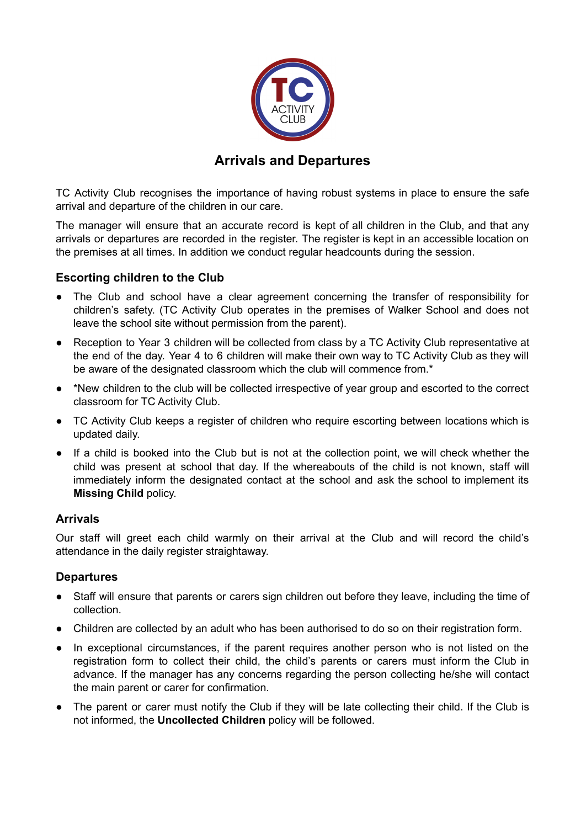

# **Arrivals and Departures**

TC Activity Club recognises the importance of having robust systems in place to ensure the safe arrival and departure of the children in our care.

The manager will ensure that an accurate record is kept of all children in the Club, and that any arrivals or departures are recorded in the register. The register is kept in an accessible location on the premises at all times. In addition we conduct regular headcounts during the session.

## **Escorting children to the Club**

- The Club and school have a clear agreement concerning the transfer of responsibility for children's safety. (TC Activity Club operates in the premises of Walker School and does not leave the school site without permission from the parent).
- Reception to Year 3 children will be collected from class by a TC Activity Club representative at the end of the day. Year 4 to 6 children will make their own way to TC Activity Club as they will be aware of the designated classroom which the club will commence from.\*
- \*New children to the club will be collected irrespective of year group and escorted to the correct classroom for TC Activity Club.
- TC Activity Club keeps a register of children who require escorting between locations which is updated daily.
- If a child is booked into the Club but is not at the collection point, we will check whether the child was present at school that day. If the whereabouts of the child is not known, staff will immediately inform the designated contact at the school and ask the school to implement its **Missing Child** policy.

### **Arrivals**

Our staff will greet each child warmly on their arrival at the Club and will record the child's attendance in the daily register straightaway.

### **Departures**

- Staff will ensure that parents or carers sign children out before they leave, including the time of collection.
- Children are collected by an adult who has been authorised to do so on their registration form.
- In exceptional circumstances, if the parent requires another person who is not listed on the registration form to collect their child, the child's parents or carers must inform the Club in advance. If the manager has any concerns regarding the person collecting he/she will contact the main parent or carer for confirmation.
- The parent or carer must notify the Club if they will be late collecting their child. If the Club is not informed, the **Uncollected Children** policy will be followed.